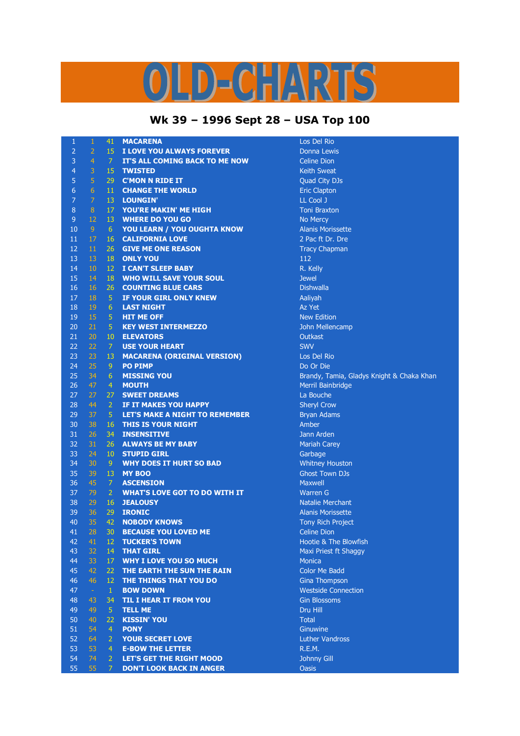## LD-CHARTS

## **Wk 39 – 1996 Sept 28 – USA Top 100**

| 1              | $\mathbf{1}$              | 41              | <b>MACARENA</b>                       | Los Del Rio                               |
|----------------|---------------------------|-----------------|---------------------------------------|-------------------------------------------|
| $\overline{2}$ | $\overline{2}$            | 15              | I LOVE YOU ALWAYS FOREVER             | <b>Donna Lewis</b>                        |
| 3              | $\overline{4}$            | $\overline{7}$  | IT'S ALL COMING BACK TO ME NOW        | <b>Celine Dion</b>                        |
| $\overline{4}$ | $\ensuremath{\mathsf{3}}$ | 15 <sub>1</sub> | <b>TWISTED</b>                        | <b>Keith Sweat</b>                        |
| 5              | $\overline{5}$            | 29              | <b>C'MON N RIDE IT</b>                | Quad City DJs                             |
| 6              | $6\phantom{1}$            | 11              | <b>CHANGE THE WORLD</b>               | <b>Eric Clapton</b>                       |
| 7              | $\overline{7}$            | 13              | <b>LOUNGIN'</b>                       | LL Cool J                                 |
| 8              | 8                         | 17              | YOU'RE MAKIN' ME HIGH                 | <b>Toni Braxton</b>                       |
| 9              | 12                        | 13              | <b>WHERE DO YOU GO</b>                | No Mercy                                  |
| 10             | 9                         | 6 <sup>1</sup>  | YOU LEARN / YOU OUGHTA KNOW           | <b>Alanis Morissette</b>                  |
| 11             | 17                        | 16              | <b>CALIFORNIA LOVE</b>                | 2 Pac ft Dr. Dre                          |
| 12             | 11                        | 26              | <b>GIVE ME ONE REASON</b>             | <b>Tracy Chapman</b>                      |
| 13             | 13                        | 18              | <b>ONLY YOU</b>                       | 112                                       |
| 14             | 10                        | 12 <sup>2</sup> | <b>I CAN'T SLEEP BABY</b>             | R. Kelly                                  |
| 15             | 14                        | 18              | <b>WHO WILL SAVE YOUR SOUL</b>        | <b>Jewel</b>                              |
| 16             | 16                        | 26              | <b>COUNTING BLUE CARS</b>             | <b>Dishwalla</b>                          |
| 17             | 18                        | $\sqrt{5}$      | IF YOUR GIRL ONLY KNEW                | Aaliyah                                   |
| 18             | 19                        | $6\,$           | <b>LAST NIGHT</b>                     | Az Yet                                    |
| 19             | 15                        | $\overline{5}$  | <b>HIT ME OFF</b>                     | <b>New Edition</b>                        |
| 20             | 21                        | 5               | <b>KEY WEST INTERMEZZO</b>            | John Mellencamp                           |
| 21             | 20                        | 10              | <b>ELEVATORS</b>                      | Outkast                                   |
| 22             | 22                        | 7               | <b>USE YOUR HEART</b>                 | <b>SWV</b>                                |
| 23             | 23                        | 13              | <b>MACARENA (ORIGINAL VERSION)</b>    | Los Del Rio                               |
| 24             | 25                        | 9               | <b>PO PIMP</b>                        | Do Or Die                                 |
| 25             | 34                        | 6               | <b>MISSING YOU</b>                    | Brandy, Tamia, Gladys Knight & Chaka Khan |
| 26             | 47                        | $\overline{4}$  | <b>MOUTH</b>                          | Merril Bainbridge                         |
| 27             | 27                        | 27              | <b>SWEET DREAMS</b>                   | La Bouche                                 |
| 28             | 44                        | $\overline{2}$  | IF IT MAKES YOU HAPPY                 | <b>Sheryl Crow</b>                        |
| 29             | 37                        | $\overline{5}$  | <b>LET'S MAKE A NIGHT TO REMEMBER</b> | <b>Bryan Adams</b>                        |
| 30             | 38                        | 16              | <b>THIS IS YOUR NIGHT</b>             | Amber                                     |
| 31             | 26                        | 34              | <b>INSENSITIVE</b>                    | Jann Arden                                |
| 32             | 31                        | 26              | <b>ALWAYS BE MY BABY</b>              | <b>Mariah Carey</b>                       |
| 33             | 24                        | 10 <sup>°</sup> | <b>STUPID GIRL</b>                    | Garbage                                   |
| 34             | 30                        | 9               | <b>WHY DOES IT HURT SO BAD</b>        | <b>Whitney Houston</b>                    |
| 35             | 39                        | 13              | <b>MY BOO</b>                         | <b>Ghost Town DJs</b>                     |
| 36             | 45                        | 7               | <b>ASCENSION</b>                      | <b>Maxwell</b>                            |
| 37             | 79                        | 2               | WHAT'S LOVE GOT TO DO WITH IT         | <b>Warren G</b>                           |
| 38             | 29                        | 16              | <b>JEALOUSY</b>                       | <b>Natalie Merchant</b>                   |
| 39             | 36                        | 29              | <b>IRONIC</b>                         | <b>Alanis Morissette</b>                  |
| 40             | 35                        | 42              | <b>NOBODY KNOWS</b>                   | Tony Rich Project                         |
| 41             | 28                        | 30              | <b>BECAUSE YOU LOVED ME</b>           | <b>Celine Dion</b>                        |
| 42             | 41                        | 12 <sup>2</sup> | <b>TUCKER'S TOWN</b>                  | Hootie & The Blowfish                     |
| 43             | 32                        | 14              | <b>THAT GIRL</b>                      | Maxi Priest ft Shaggy                     |
| 44             | 33                        | 17              | <b>WHY I LOVE YOU SO MUCH</b>         | <b>Monica</b>                             |
| 45             | 42                        | 22              | THE EARTH THE SUN THE RAIN            | <b>Color Me Badd</b>                      |
| 46             | 46                        | 12 <sup>2</sup> | THE THINGS THAT YOU DO                | <b>Gina Thompson</b>                      |
| 47             | $\omega$                  | $\mathbf{1}$    | <b>BOW DOWN</b>                       | <b>Westside Connection</b>                |
| 48             | 43                        | 34              | <b>TIL I HEAR IT FROM YOU</b>         | <b>Gin Blossoms</b>                       |
| 49             | 49                        | 5               | <b>TELL ME</b>                        | Dru Hill                                  |
| 50             | 40                        | 22              | <b>KISSIN' YOU</b>                    | <b>Total</b>                              |
| 51             | 54                        | $\overline{4}$  | <b>PONY</b>                           | Ginuwine                                  |
| 52             | 64                        | $\overline{2}$  | <b>YOUR SECRET LOVE</b>               | <b>Luther Vandross</b>                    |
| 53             | 53                        | $\overline{4}$  | <b>E-BOW THE LETTER</b>               | R.E.M.                                    |
| 54             | 74                        | $\overline{2}$  | <b>LET'S GET THE RIGHT MOOD</b>       | <b>Johnny Gill</b>                        |
| 55             | 55                        | 7               | <b>DON'T LOOK BACK IN ANGER</b>       | <b>Oasis</b>                              |
|                |                           |                 |                                       |                                           |